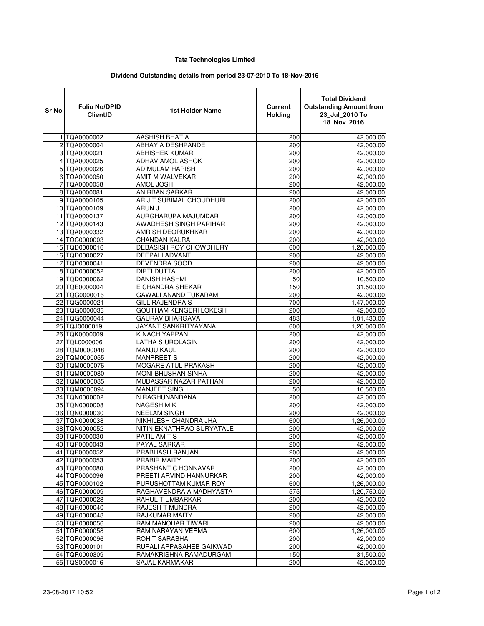## **Tata Technologies Limited**

## **Dividend Outstanding details from period 23-07-2010 To 18-Nov-2016**

| Sr No | <b>Folio No/DPID</b><br><b>ClientID</b> | 1st Holder Name               | Current<br>Holding | <b>Total Dividend</b><br><b>Outstanding Amount from</b><br>23_Jul_2010 To<br>18_Nov_2016 |
|-------|-----------------------------------------|-------------------------------|--------------------|------------------------------------------------------------------------------------------|
|       | 1 TQA0000002                            | AASHISH BHATIA                | 200                | $\overline{42}$ ,000.00                                                                  |
|       | 2 TQA0000004                            | ABHAY A DESHPANDE             | 200                | 42,000.00                                                                                |
|       | 3 TQA0000021                            | <b>ABHISHEK KUMAR</b>         | 200                | 42,000.00                                                                                |
|       | 4 TQA0000025                            | <b>ADHAV AMOL ASHOK</b>       | 200                | 42,000.00                                                                                |
|       | 5 TQA0000026                            | ADIMULAM HARISH               | 200                | 42,000.00                                                                                |
|       | 6 TQA0000050                            | AMIT M WALVEKAR               | 200                | 42,000.00                                                                                |
|       | 7 TQA0000058                            | AMOL JOSHI                    | 200                | 42,000.00                                                                                |
|       | 8 TQA0000081                            | ANIRBAN SARKAR                | 200                | 42,000.00                                                                                |
|       | 9 TQA0000105                            | ARIJIT SUBIMAL CHOUDHURI      | 200                | 42,000.00                                                                                |
|       | 10 TQA0000109                           | ARUN J                        | 200                | 42,000.00                                                                                |
|       | 11 TQA0000137                           | AURGHARUPA MAJUMDAR           | 200                | 42,000.00                                                                                |
|       | 12 TQA0000143                           | AWADHESH SINGH PARIHAR        | 200                | 42,000.00                                                                                |
|       | 13 TQA0000332                           | AMRISH DEORUKHKAR             | 200                | 42,000.00                                                                                |
|       | 14 TQC0000003                           | <b>CHANDAN KALRA</b>          | 200                | 42,000.00                                                                                |
|       | 15 TQD0000016                           | <b>DEBASISH ROY CHOWDHURY</b> | 600                | 1,26,000.00                                                                              |
|       | 16 TQD0000027                           | <b>DEEPALI ADVANT</b>         | 200                | 42,000.00                                                                                |
|       | 17 TQD0000041                           | <b>DEVENDRA SOOD</b>          | 200                | 42,000.00                                                                                |
|       | 18 TQD0000052                           | <b>DIPTI DUTTA</b>            | 200                | 42.000.00                                                                                |
|       | 19 TQD0000062                           | <b>DANISH HASHMI</b>          | 50                 | 10,500.00                                                                                |
|       | 20 TQE0000004                           | E CHANDRA SHEKAR              | 150                | 31,500.00                                                                                |
|       | 21 TQG0000016                           | <b>GAWALI ANAND TUKARAM</b>   | 200                | 42,000.00                                                                                |
|       | 22 TQG0000021                           | <b>GILL RAJENDRA S</b>        | 700                | 1,47,000.00                                                                              |
|       | 23 TQG0000033                           | GOUTHAM KENGERI LOKESH        | 200                | 42,000.00                                                                                |
|       | 24 TQG0000044                           | <b>GAURAV BHARGAVA</b>        | 483                | 1,01,430.00                                                                              |
|       | 25 TQJ0000019                           | JAYANT SANKRITYAYANA          | 600                | 1,26,000.00                                                                              |
|       | 26 TQK0000009                           | K NACHIYAPPAN                 | 200                | 42,000.00                                                                                |
|       | 27 TQL0000006                           | LATHA S UROLAGIN              | 200                | 42,000.00                                                                                |
|       | 28 TQM0000048                           | MANJU KAUL                    | 200                | 42,000.00                                                                                |
|       | 29 TQM0000055                           | <b>MANPREET S</b>             | 200                | 42,000.00                                                                                |
|       | 30 TQM0000076                           | MOGARE ATUL PRAKASH           | 200                | 42,000.00                                                                                |
|       | 31 TQM0000080                           | <b>MONI BHUSHAN SINHA</b>     | 200                | 42,000.00                                                                                |
|       | 32 TQM0000085                           | MUDASSAR NAZAR PATHAN         | 200                | 42,000.00                                                                                |
|       | 33 TQM0000094                           | MANJEET SINGH                 | 50                 | 10,500.00                                                                                |
|       | 34 TQN0000002                           | N RAGHUNANDANA                | 200                | 42,000.00                                                                                |
|       | 35 TQN0000008                           | <b>NAGESH MK</b>              | 200                | 42,000.00                                                                                |
|       | 36 TQN0000030                           | <b>NEELAM SINGH</b>           | 200                | 42,000.00                                                                                |
|       | 37 TQN0000038                           | NIKHILESH CHANDRA JHA         | 600                | 1,26,000.00                                                                              |
|       | 38 TQN0000052                           | NITIN EKNATHRAO SURYATALE     | 200                | 42,000.00                                                                                |
|       | 39 TQP0000030                           | <b>PATIL AMIT S</b>           | 200                | 42.000.00                                                                                |
|       | 40 TQP0000043                           | PAYAL SARKAR                  | 200                | 42,000.00                                                                                |
|       | 41 TQP0000052                           | PRABHASH RANJAN               | 200                | 42,000.00                                                                                |
|       | 42 TQP0000053                           | PRABIR MAITY                  | 200                | 42,000.00                                                                                |
|       | 43 TQP0000080                           | PRASHANT C HONNAVAR           | 200                | 42,000.00                                                                                |
|       | 44 TQP0000096                           | PREETI ARVIND HANNURKAR       | 200                | 42,000.00                                                                                |
|       | 45 TQP0000102                           | PURUSHOTTAM KUMAR ROY         | 600                | 1,26,000.00                                                                              |
|       | 46 TQR0000009                           | RAGHAVENDRA A MADHYASTA       | 575                | 1,20,750.00                                                                              |
|       | 47 TQR0000023                           | RAHUL T UMBARKAR              | 200                | 42,000.00                                                                                |
|       | 48 TQR0000040                           | RAJESH T MUNDRA               | 200                | 42,000.00                                                                                |
|       | 49 TQR0000048                           | RAJKUMAR MAITY                | 200                | 42,000.00                                                                                |
|       | 50 TQR0000056                           | RAM MANOHAR TIWARI            | 200                | 42,000.00                                                                                |
|       | 51 TQR0000058                           | RAM NARAYAN VERMA             | 600                | 1,26,000.00                                                                              |
|       | 52 TQR0000096                           | ROHIT SARABHAI                | 200                | 42,000.00                                                                                |
|       | 53 TQR0000101                           | RUPALI APPASAHEB GAIKWAD      | 200                | 42,000.00                                                                                |
|       | 54 TQR0000309                           | RAMAKRISHNA RAMADURGAM        | 150                | 31,500.00                                                                                |
|       | 55 TQS0000016                           | <b>SAJAL KARMAKAR</b>         | 200                | 42,000.00                                                                                |